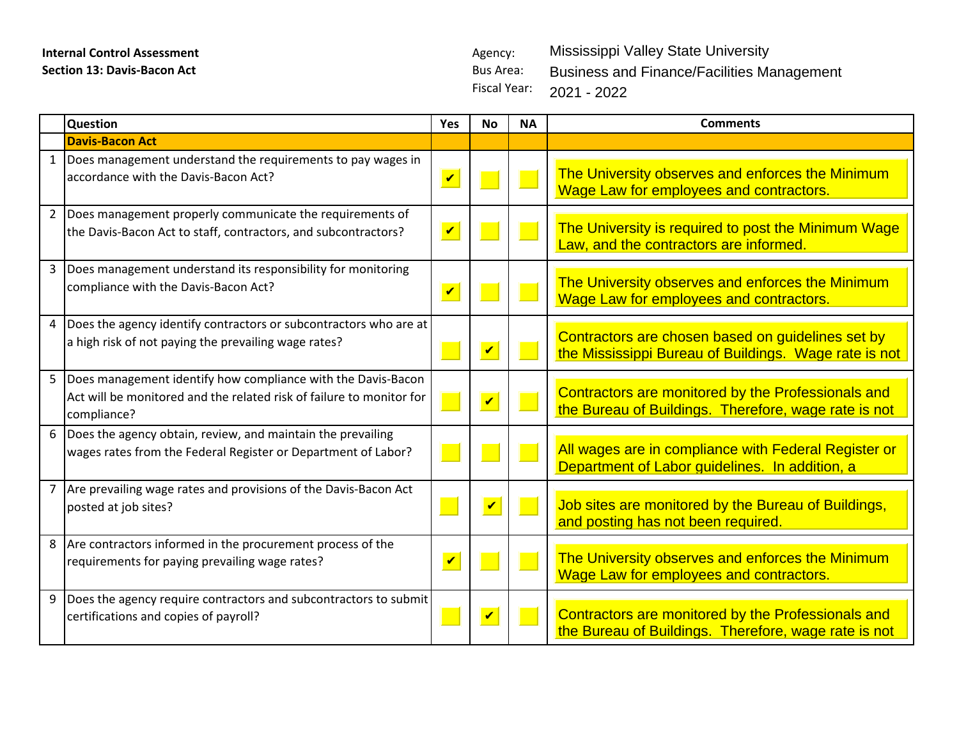## **Internal Control Assessment** Agency: **Section 13: Davis-Bacon Act Bus Area:** Bus Area:

Fiscal Year: Mississippi Valley State University Business and Finance/Facilities Management 2021 - 2022

|              | <b>Question</b>                                                                                                                                       | Yes                        | <b>No</b>               | <b>NA</b> | <b>Comments</b>                                                                                            |
|--------------|-------------------------------------------------------------------------------------------------------------------------------------------------------|----------------------------|-------------------------|-----------|------------------------------------------------------------------------------------------------------------|
|              | <b>Davis-Bacon Act</b>                                                                                                                                |                            |                         |           |                                                                                                            |
| $\mathbf{1}$ | Does management understand the requirements to pay wages in<br>accordance with the Davis-Bacon Act?                                                   | $\boldsymbol{\mathcal{U}}$ |                         |           | The University observes and enforces the Minimum<br>Wage Law for employees and contractors.                |
|              | 2 Does management properly communicate the requirements of<br>the Davis-Bacon Act to staff, contractors, and subcontractors?                          | $\overline{\mathbf{v}}$    |                         |           | The University is required to post the Minimum Wage<br>Law, and the contractors are informed.              |
| 3            | Does management understand its responsibility for monitoring<br>compliance with the Davis-Bacon Act?                                                  | $\overline{\mathbf{v}}$    |                         |           | The University observes and enforces the Minimum<br>Wage Law for employees and contractors.                |
|              | 4 Does the agency identify contractors or subcontractors who are at<br>a high risk of not paying the prevailing wage rates?                           |                            | $\overline{\mathbf{v}}$ |           | Contractors are chosen based on guidelines set by<br>the Mississippi Bureau of Buildings. Wage rate is not |
|              | 5 Does management identify how compliance with the Davis-Bacon<br>Act will be monitored and the related risk of failure to monitor for<br>compliance? |                            | $\overline{\mathbf{v}}$ |           | Contractors are monitored by the Professionals and<br>the Bureau of Buildings. Therefore, wage rate is not |
|              | 6 Does the agency obtain, review, and maintain the prevailing<br>wages rates from the Federal Register or Department of Labor?                        |                            |                         |           | All wages are in compliance with Federal Register or<br>Department of Labor guidelines. In addition, a     |
|              | 7 Are prevailing wage rates and provisions of the Davis-Bacon Act<br>posted at job sites?                                                             |                            | $\overline{\mathbf{v}}$ |           | Job sites are monitored by the Bureau of Buildings,<br>and posting has not been required.                  |
| 8            | Are contractors informed in the procurement process of the<br>requirements for paying prevailing wage rates?                                          | $\boldsymbol{\mathcal{U}}$ |                         |           | The University observes and enforces the Minimum<br><b>Wage Law for employees and contractors.</b>         |
| 9            | Does the agency require contractors and subcontractors to submit<br>certifications and copies of payroll?                                             |                            | $\overline{\mathbf{v}}$ |           | Contractors are monitored by the Professionals and<br>the Bureau of Buildings. Therefore, wage rate is not |